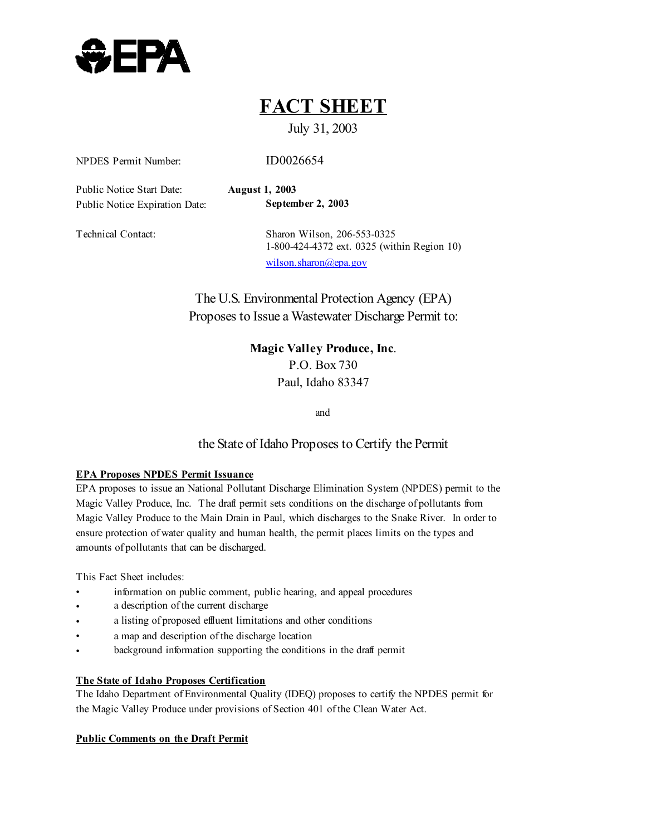

## **FACT SHEET**

### July 31, 2003

NPDES Permit Number: ID0026654

Public Notice Start Date: **August 1, 2003**  Public Notice Expiration Date: **September 2, 2003** 

Technical Contact: Sharon Wilson, 206-553-0325 1-800-424-4372 ext. 0325 (within Region 10) wilson.sharon@epa.gov

> The U.S. Environmental Protection Agency (EPA) Proposes to Issue a Wastewater Discharge Permit to:

> > **Magic Valley Produce, Inc**. P.O. Box 730 Paul, Idaho 83347

> > > and

#### the State of Idaho Proposes to Certify the Permit

#### **EPA Proposes NPDES Permit Issuance**

EPA proposes to issue an National Pollutant Discharge Elimination System (NPDES) permit to the Magic Valley Produce, Inc. The draft permit sets conditions on the discharge of pollutants from Magic Valley Produce to the Main Drain in Paul, which discharges to the Snake River. In order to ensure protection of water quality and human health, the permit places limits on the types and amounts of pollutants that can be discharged.

This Fact Sheet includes:

- information on public comment, public hearing, and appeal procedures
- a description of the current discharge
- a listing of proposed effluent limitations and other conditions
- a map and description of the discharge location
- background information supporting the conditions in the draft permit

#### **The State of Idaho Proposes Certification**

The Idaho Department of Environmental Quality (IDEQ) proposes to certify the NPDES permit for the Magic Valley Produce under provisions of Section 401 of the Clean Water Act.

#### **Public Comments on the Draft Permit**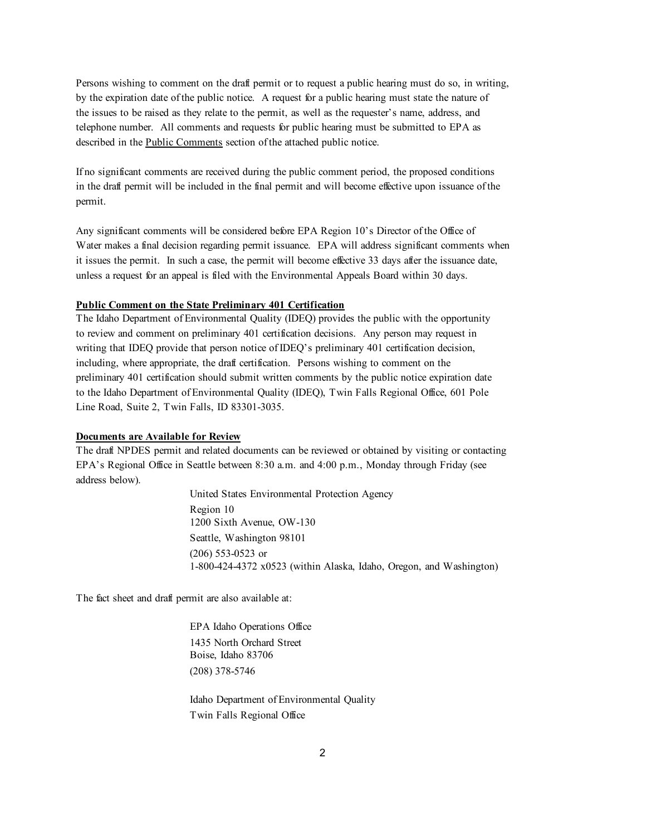Persons wishing to comment on the draft permit or to request a public hearing must do so, in writing, by the expiration date of the public notice. A request for a public hearing must state the nature of the issues to be raised as they relate to the permit, as well as the requester's name, address, and telephone number. All comments and requests for public hearing must be submitted to EPA as described in the Public Comments section of the attached public notice.

If no significant comments are received during the public comment period, the proposed conditions in the draft permit will be included in the final permit and will become effective upon issuance of the permit.

Any significant comments will be considered before EPA Region 10's Director of the Office of Water makes a final decision regarding permit issuance. EPA will address significant comments when it issues the permit. In such a case, the permit will become effective 33 days after the issuance date, unless a request for an appeal is filed with the Environmental Appeals Board within 30 days.

#### **Public Comment on the State Preliminary 401 Certification**

The Idaho Department of Environmental Quality (IDEQ) provides the public with the opportunity to review and comment on preliminary 401 certification decisions. Any person may request in writing that IDEQ provide that person notice of IDEQ's preliminary 401 certification decision, including, where appropriate, the draft certification. Persons wishing to comment on the preliminary 401 certification should submit written comments by the public notice expiration date to the Idaho Department of Environmental Quality (IDEQ), Twin Falls Regional Office, 601 Pole Line Road, Suite 2, Twin Falls, ID 83301-3035.

#### **Documents are Available for Review**

The draft NPDES permit and related documents can be reviewed or obtained by visiting or contacting EPA's Regional Office in Seattle between 8:30 a.m. and 4:00 p.m., Monday through Friday (see address below).

> United States Environmental Protection Agency Region 10 1200 Sixth Avenue, OW-130 Seattle, Washington 98101 (206) 553-0523 or 1-800-424-4372 x0523 (within Alaska, Idaho, Oregon, and Washington)

The fact sheet and draft permit are also available at:

EPA Idaho Operations Office 1435 North Orchard Street Boise, Idaho 83706 (208) 378-5746

Idaho Department of Environmental Quality Twin Falls Regional Office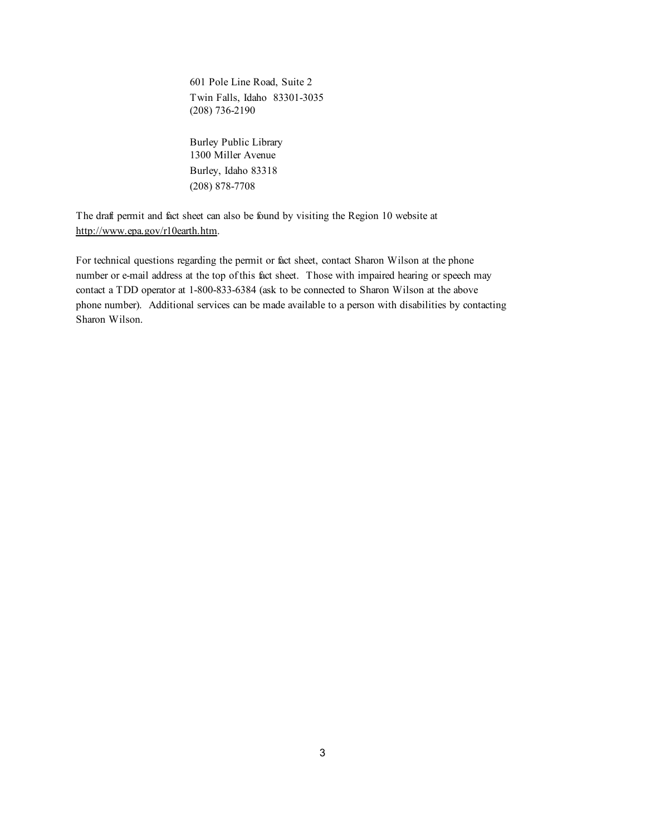601 Pole Line Road, Suite 2 Twin Falls, Idaho 83301-3035 (208) 736-2190

Burley Public Library 1300 Miller Avenue Burley, Idaho 83318 (208) 878-7708

The draft permit and fact sheet can also be found by visiting the Region 10 website at http://www.epa.gov/r10earth.htm.

For technical questions regarding the permit or fact sheet, contact Sharon Wilson at the phone number or e-mail address at the top of this fact sheet. Those with impaired hearing or speech may contact a TDD operator at 1-800-833-6384 (ask to be connected to Sharon Wilson at the above phone number). Additional services can be made available to a person with disabilities by contacting Sharon Wilson.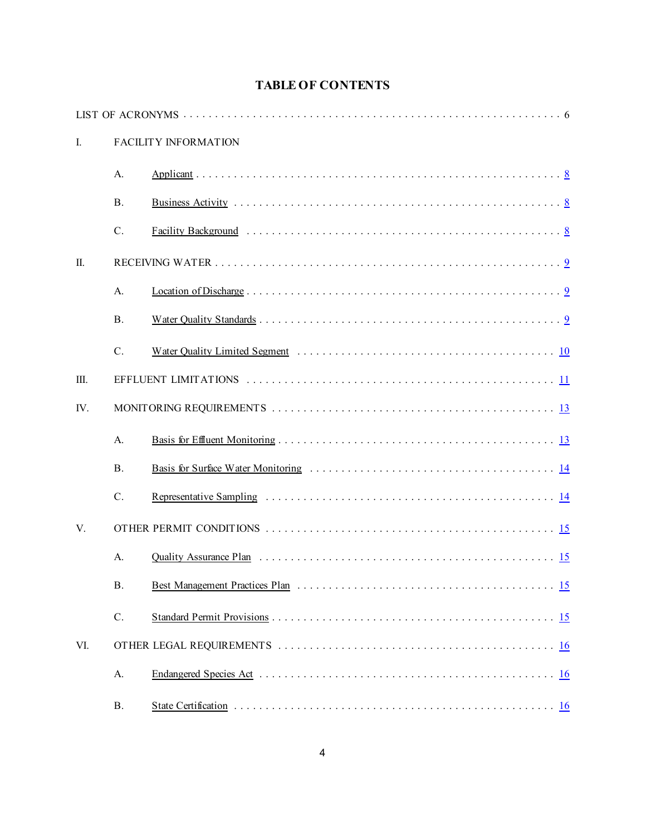| <b>TABLE OF CONTENTS</b> |  |  |  |  |
|--------------------------|--|--|--|--|
|--------------------------|--|--|--|--|

| I.  |            | <b>FACILITY INFORMATION</b> |
|-----|------------|-----------------------------|
|     | A.         |                             |
|     | <b>B</b> . |                             |
|     | $C$ .      |                             |
| Π.  |            |                             |
|     | A.         |                             |
|     | <b>B</b> . |                             |
|     | $C$ .      |                             |
| Ш.  |            |                             |
| IV. |            |                             |
|     | A.         |                             |
|     | <b>B</b> . |                             |
|     | $C$ .      |                             |
| V.  |            |                             |
|     | A.         |                             |
|     | <b>B.</b>  |                             |
|     | $C$ .      |                             |
| VI. |            |                             |
|     | A.         |                             |
|     | <b>B.</b>  |                             |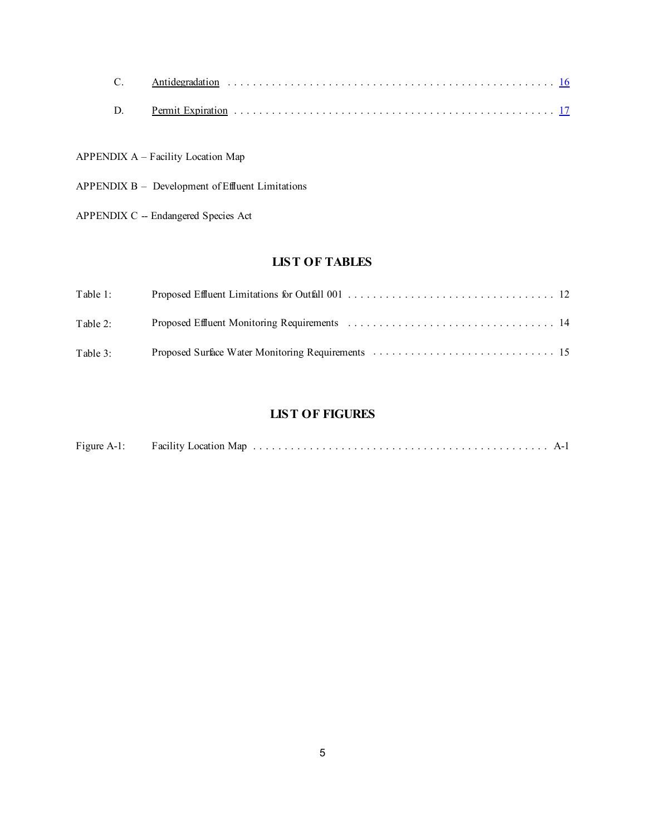APPENDIX A – Facility Location Map

- APPENDIX B Development of Effluent Limitations
- APPENDIX C -- Endangered Species Act

#### **LIST OF TABLES**

| Table 1: |  |
|----------|--|
| Table 2: |  |
| Table 3: |  |

#### **LIST OF FIGURES**

| Figure A-1:<br><b>Facility Location Map</b> |  |  |
|---------------------------------------------|--|--|
|---------------------------------------------|--|--|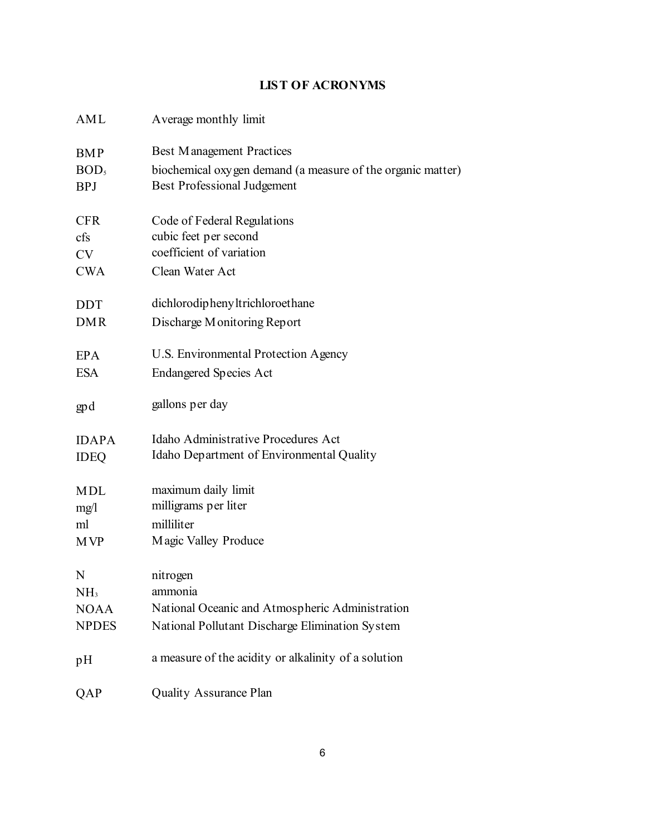### **LIST OF ACRONYMS**

| AML              | Average monthly limit                                       |
|------------------|-------------------------------------------------------------|
| <b>BMP</b>       | <b>Best Management Practices</b>                            |
| BOD <sub>5</sub> | biochemical oxygen demand (a measure of the organic matter) |
| <b>BPJ</b>       | <b>Best Professional Judgement</b>                          |
|                  |                                                             |
| <b>CFR</b>       | Code of Federal Regulations                                 |
| cfs              | cubic feet per second                                       |
| <b>CV</b>        | coefficient of variation                                    |
| <b>CWA</b>       | Clean Water Act                                             |
| <b>DDT</b>       | dichlorodiphenyltrichloroethane                             |
| <b>DMR</b>       | Discharge Monitoring Report                                 |
|                  |                                                             |
| <b>EPA</b>       | U.S. Environmental Protection Agency                        |
| <b>ESA</b>       | <b>Endangered Species Act</b>                               |
|                  |                                                             |
| gp d             | gallons per day                                             |
|                  |                                                             |
| <b>IDAPA</b>     | Idaho Administrative Procedures Act                         |
| <b>IDEQ</b>      | Idaho Department of Environmental Quality                   |
|                  |                                                             |
| <b>MDL</b>       | maximum daily limit                                         |
| mg/l             | milligrams per liter                                        |
| ml               | milliliter                                                  |
| <b>MVP</b>       | Magic Valley Produce                                        |
|                  |                                                             |
| N                | nitrogen                                                    |
| NH <sub>3</sub>  | ammonia                                                     |
| <b>NOAA</b>      | National Oceanic and Atmospheric Administration             |
| <b>NPDES</b>     | National Pollutant Discharge Elimination System             |
|                  |                                                             |
| pH               | a measure of the acidity or alkalinity of a solution        |
|                  |                                                             |
| QAP              | <b>Quality Assurance Plan</b>                               |
|                  |                                                             |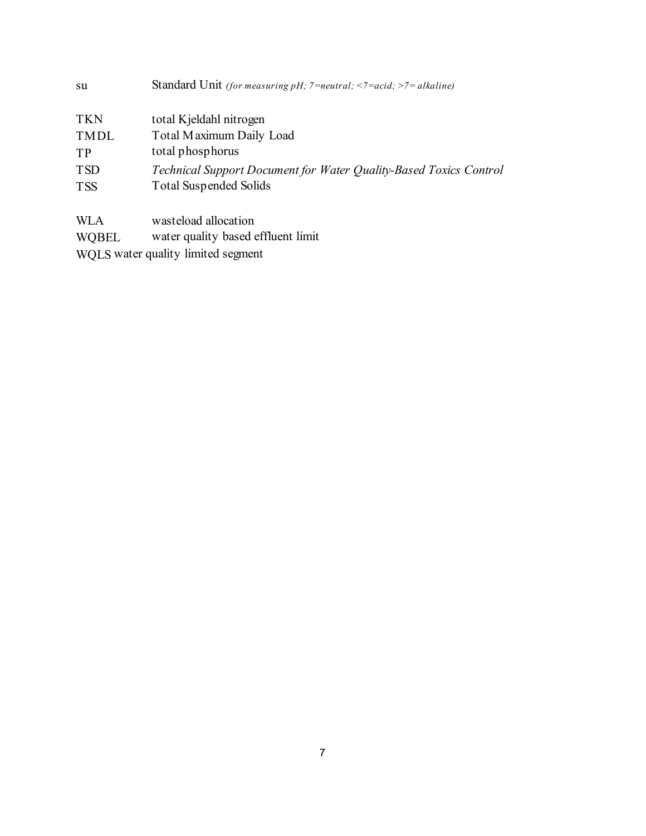| su          | <b>Standard Unit</b> (for measuring pH; $7 = neutral$ ; $\leq 7 = acid$ ; $\geq 7 = alkaline$ ) |
|-------------|-------------------------------------------------------------------------------------------------|
| <b>TKN</b>  | total Kjeldahl nitrogen                                                                         |
| <b>TMDL</b> | Total Maximum Daily Load                                                                        |
| TP          | total phosphorus                                                                                |
| <b>TSD</b>  | Technical Support Document for Water Quality-Based Toxics Control                               |
| <b>TSS</b>  | <b>Total Suspended Solids</b>                                                                   |
|             |                                                                                                 |
| WLA         | wasteload allocation                                                                            |

WQBEL water quality based effluent limit

WQLS water quality limited segment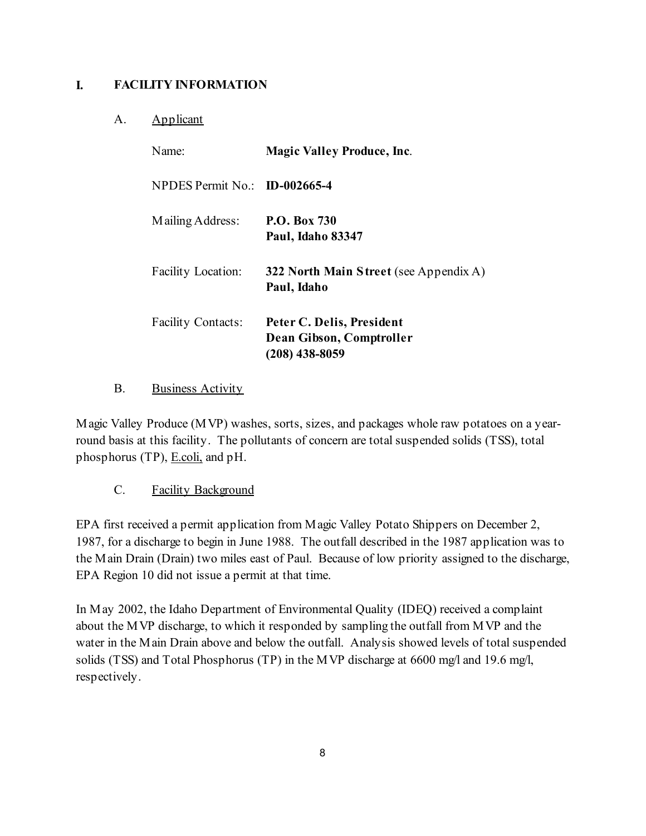### <span id="page-7-0"></span>**I. FACILITY INFORMATION**

#### A. Applicant

| Name <sup>-</sup>             | <b>Magic Valley Produce, Inc.</b>                                         |  |  |
|-------------------------------|---------------------------------------------------------------------------|--|--|
| NPDES Permit No.: ID-002665-4 |                                                                           |  |  |
| Mailing Address:              | <b>P.O. Box 730</b><br><b>Paul, Idaho 83347</b>                           |  |  |
| <b>Facility Location:</b>     | 322 North Main Street (see Appendix A)<br>Paul, Idaho                     |  |  |
| <b>Facility Contacts:</b>     | Peter C. Delis, President<br>Dean Gibson, Comptroller<br>$(208)$ 438-8059 |  |  |

B. Business Activity

Magic Valley Produce (MVP) washes, sorts, sizes, and packages whole raw potatoes on a yearround basis at this facility. The pollutants of concern are total suspended solids (TSS), total phosphorus (TP), **E.coli**, and pH.

C. Facility Background

EPA first received a permit application from Magic Valley Potato Shippers on December 2, 1987, for a discharge to begin in June 1988. The outfall described in the 1987 application was to the Main Drain (Drain) two miles east of Paul. Because of low priority assigned to the discharge, EPA Region 10 did not issue a permit at that time.

In May 2002, the Idaho Department of Environmental Quality (IDEQ) received a complaint about the MVP discharge, to which it responded by sampling the outfall from MVP and the water in the Main Drain above and below the outfall. Analysis showed levels of total suspended solids (TSS) and Total Phosphorus (TP) in the MVP discharge at 6600 mg/l and 19.6 mg/l, respectively.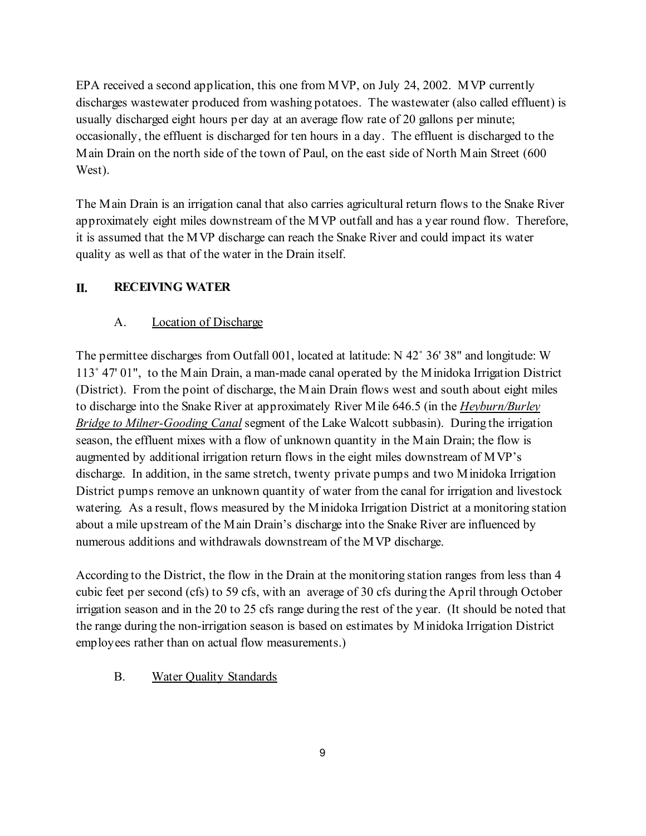<span id="page-8-0"></span>West). EPA received a second application, this one from MVP, on July 24, 2002. MVP currently discharges wastewater produced from washing potatoes. The wastewater (also called effluent) is usually discharged eight hours per day at an average flow rate of 20 gallons per minute; occasionally, the effluent is discharged for ten hours in a day. The effluent is discharged to the Main Drain on the north side of the town of Paul, on the east side of North Main Street (600

The Main Drain is an irrigation canal that also carries agricultural return flows to the Snake River approximately eight miles downstream of the MVP outfall and has a year round flow. Therefore, it is assumed that the MVP discharge can reach the Snake River and could impact its water quality as well as that of the water in the Drain itself.

#### **II. RECEIVING WATER**

#### A. Location of Discharge

numerous additions and withdrawals downstream of the MVP discharge. The permittee discharges from Outfall 001, located at latitude:  $N$  42° 36′ 38″ and longitude: W 113/ 47' 01", to the Main Drain, a man-made canal operated by the Minidoka Irrigation District (District). From the point of discharge, the Main Drain flows west and south about eight miles to discharge into the Snake River at approximately River Mile 646.5 (in the *Heyburn/Burley Bridge to Milner-Gooding Canal* segment of the Lake Walcott subbasin). During the irrigation season, the effluent mixes with a flow of unknown quantity in the Main Drain; the flow is augmented by additional irrigation return flows in the eight miles downstream of MVP's discharge. In addition, in the same stretch, twenty private pumps and two Minidoka Irrigation District pumps remove an unknown quantity of water from the canal for irrigation and livestock watering. As a result, flows measured by the Minidoka Irrigation District at a monitoring station about a mile upstream of the Main Drain's discharge into the Snake River are influenced by

According to the District, the flow in the Drain at the monitoring station ranges from less than 4 cubic feet per second (cfs) to 59 cfs, with an average of 30 cfs during the April through October irrigation season and in the 20 to 25 cfs range during the rest of the year. (It should be noted that the range during the non-irrigation season is based on estimates by Minidoka Irrigation District employees rather than on actual flow measurements.)

B. Water Quality Standards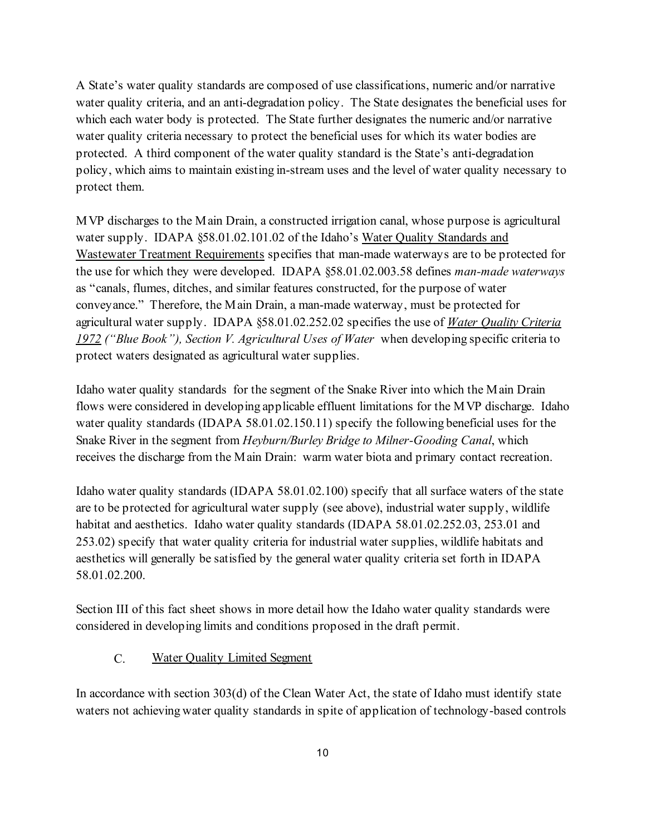<span id="page-9-0"></span>A State's water quality standards are composed of use classifications, numeric and/or narrative water quality criteria, and an anti-degradation policy. The State designates the beneficial uses for which each water body is protected. The State further designates the numeric and/or narrative water quality criteria necessary to protect the beneficial uses for which its water bodies are protected. A third component of the water quality standard is the State's anti-degradation policy, which aims to maintain existing in-stream uses and the level of water quality necessary to protect them.

MVP discharges to the Main Drain, a constructed irrigation canal, whose purpose is agricultural water supply. IDAPA §58.01.02.101.02 of the Idaho's Water Quality Standards and Wastewater Treatment Requirements specifies that man-made waterways are to be protected for the use for which they were developed. IDAPA §58.01.02.003.58 defines *man-made waterways*  as "canals, flumes, ditches, and similar features constructed, for the purpose of water conveyance." Therefore, the Main Drain, a man-made waterway, must be protected for agricultural water supply. IDAPA §58.01.02.252.02 specifies the use of *Water Quality Criteria 1972 ("Blue Book"), Section V. Agricultural Uses of Water* when developing specific criteria to protect waters designated as agricultural water supplies.

Idaho water quality standards for the segment of the Snake River into which the Main Drain flows were considered in developing applicable effluent limitations for the MVP discharge. Idaho water quality standards (IDAPA 58.01.02.150.11) specify the following beneficial uses for the Snake River in the segment from *Heyburn/Burley Bridge to Milner-Gooding Canal*, which receives the discharge from the Main Drain: warm water biota and primary contact recreation.

Idaho water quality standards (IDAPA 58.01.02.100) specify that all surface waters of the state are to be protected for agricultural water supply (see above), industrial water supply, wildlife habitat and aesthetics. Idaho water quality standards (IDAPA 58.01.02.252.03, 253.01 and 253.02) specify that water quality criteria for industrial water supplies, wildlife habitats and aesthetics will generally be satisfied by the general water quality criteria set forth in IDAPA 58.01.02.200.

Section III of this fact sheet shows in more detail how the Idaho water quality standards were considered in developing limits and conditions proposed in the draft permit.

#### C. Water Quality Limited Segment

In accordance with section 303(d) of the Clean Water Act, the state of Idaho must identify state waters not achieving water quality standards in spite of application of technology-based controls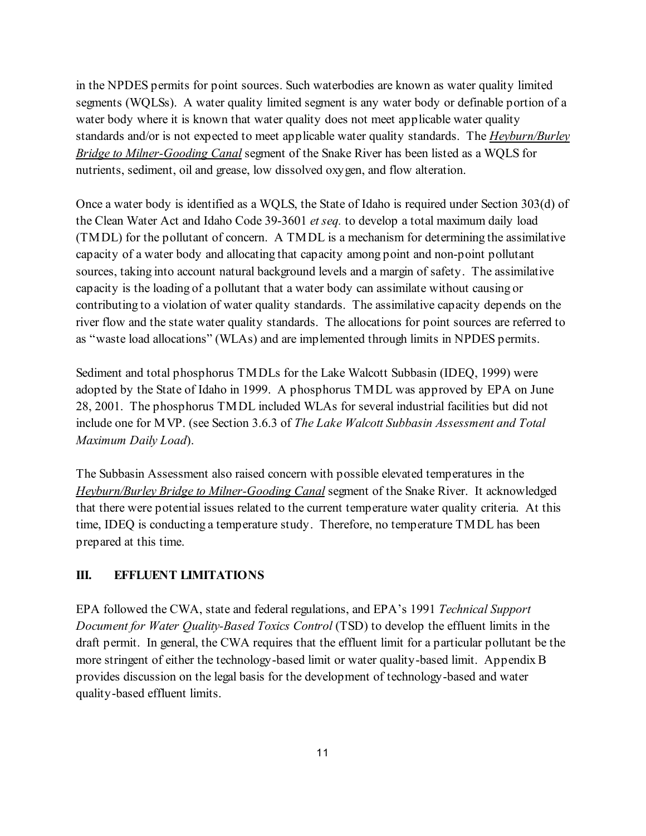<span id="page-10-0"></span>in the NPDES permits for point sources. Such waterbodies are known as water quality limited segments (WQLSs). A water quality limited segment is any water body or definable portion of a water body where it is known that water quality does not meet applicable water quality standards and/or is not expected to meet applicable water quality standards. The *Heyburn/Burley Bridge to Milner-Gooding Canal* segment of the Snake River has been listed as a WQLS for nutrients, sediment, oil and grease, low dissolved oxygen, and flow alteration.

Once a water body is identified as a WQLS, the State of Idaho is required under Section 303(d) of the Clean Water Act and Idaho Code 39-3601 *et seq.* to develop a total maximum daily load (TMDL) for the pollutant of concern. A TMDL is a mechanism for determining the assimilative capacity of a water body and allocating that capacity among point and non-point pollutant sources, taking into account natural background levels and a margin of safety. The assimilative capacity is the loading of a pollutant that a water body can assimilate without causing or contributing to a violation of water quality standards. The assimilative capacity depends on the river flow and the state water quality standards. The allocations for point sources are referred to

 as "waste load allocations" (WLAs) and are implemented through limits in NPDES permits. Sediment and total phosphorus TMDLs for the Lake Walcott Subbasin (IDEQ, 1999) were adopted by the State of Idaho in 1999. A phosphorus TMDL was approved by EPA on June 28, 2001. The phosphorus TMDL included WLAs for several industrial facilities but did not include one for MVP. (see Section 3.6.3 of *The Lake Walcott Subbasin Assessment and Total Maximum Daily Load*).

The Subbasin Assessment also raised concern with possible elevated temperatures in the *Heyburn/Burley Bridge to Milner-Gooding Canal* segment of the Snake River. It acknowledged that there were potential issues related to the current temperature water quality criteria. At this time, IDEQ is conducting a temperature study. Therefore, no temperature TMDL has been prepared at this time.

#### **III. EFFLUENT LIMITATIONS**

EPA followed the CWA, state and federal regulations, and EPA's 1991 *Technical Support Document for Water Quality-Based Toxics Control* (TSD) to develop the effluent limits in the draft permit. In general, the CWA requires that the effluent limit for a particular pollutant be the more stringent of either the technology-based limit or water quality-based limit. Appendix B provides discussion on the legal basis for the development of technology-based and water quality-based effluent limits.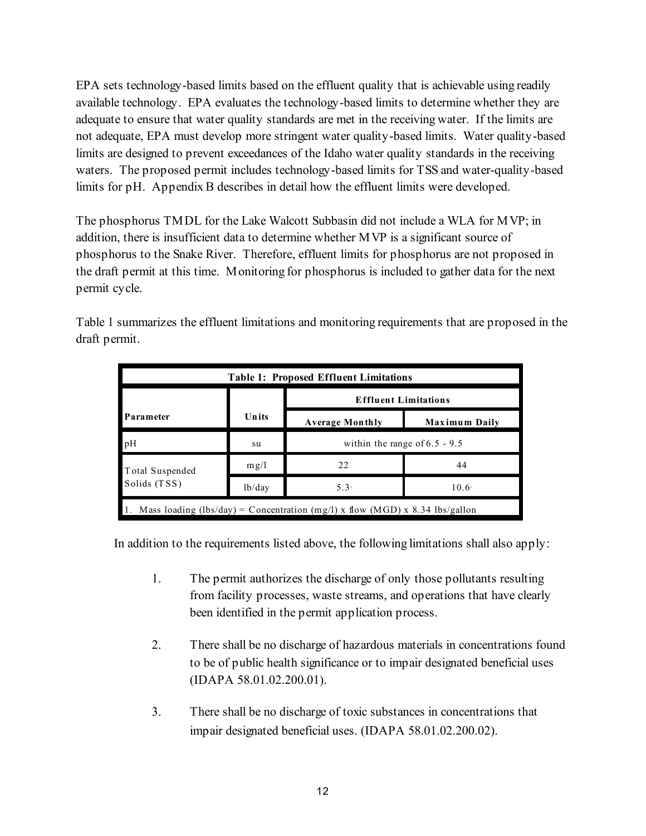EPA sets technology-based limits based on the effluent quality that is achievable using readily available technology. EPA evaluates the technology-based limits to determine whether they are adequate to ensure that water quality standards are met in the receiving water. If the limits are not adequate, EPA must develop more stringent water quality-based limits. Water quality-based limits are designed to prevent exceedances of the Idaho water quality standards in the receiving waters. The proposed permit includes technology-based limits for TSS and water-quality-based limits for pH. Appendix B describes in detail how the effluent limits were developed.

The phosphorus TMDL for the Lake Walcott Subbasin did not include a WLA for MVP; in addition, there is insufficient data to determine whether MVP is a significant source of phosphorus to the Snake River. Therefore, effluent limits for phosphorus are not proposed in the draft permit at this time. Monitoring for phosphorus is included to gather data for the next permit cycle.

| Table 1 summarizes the effluent limitations and monitoring requirements that are proposed in the |  |
|--------------------------------------------------------------------------------------------------|--|
| draft permit.                                                                                    |  |

| <b>Table 1: Proposed Effluent Limitations</b>                                |        |                                         |                |  |  |
|------------------------------------------------------------------------------|--------|-----------------------------------------|----------------|--|--|
|                                                                              |        | <b>Effluent Limitations</b>             |                |  |  |
| Parameter                                                                    | Units  | <b>Average Monthly</b><br>Maximum Daily |                |  |  |
| pH                                                                           | su     | within the range of $6.5 - 9.5$         |                |  |  |
| Total Suspended                                                              | mg/l   | 22.                                     | 44             |  |  |
| Solids (TSS)                                                                 | 1b/day | 5.3 <sup>1</sup>                        | $10.6^{\circ}$ |  |  |
| Mass loading (lbs/day) = Concentration (mg/l) x flow (MGD) x 8.34 lbs/gallon |        |                                         |                |  |  |

In addition to the requirements listed above, the following limitations shall also apply:

- 1. The permit authorizes the discharge of only those pollutants resulting from facility processes, waste streams, and operations that have clearly been identified in the permit application process.
- 2. There shall be no discharge of hazardous materials in concentrations found to be of public health significance or to impair designated beneficial uses (IDAPA 58.01.02.200.01).
- 3. There shall be no discharge of toxic substances in concentrations that impair designated beneficial uses. (IDAPA 58.01.02.200.02).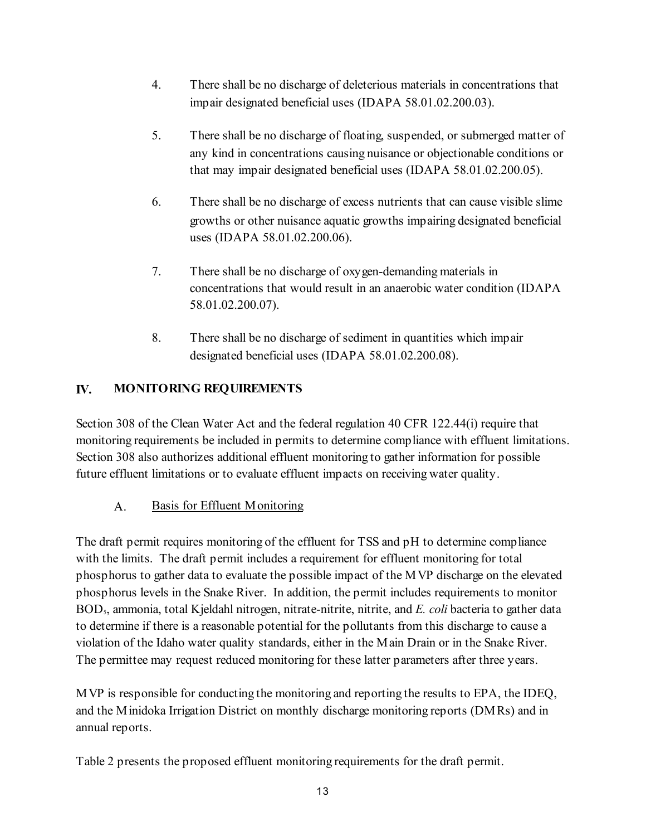- <span id="page-12-0"></span>4. There shall be no discharge of deleterious materials in concentrations that impair designated beneficial uses (IDAPA 58.01.02.200.03).
- 5. There shall be no discharge of floating, suspended, or submerged matter of any kind in concentrations causing nuisance or objectionable conditions or that may impair designated beneficial uses (IDAPA 58.01.02.200.05).
- 6. There shall be no discharge of excess nutrients that can cause visible slime growths or other nuisance aquatic growths impairing designated beneficial uses (IDAPA 58.01.02.200.06).
- 7. There shall be no discharge of oxygen-demanding materials in concentrations that would result in an anaerobic water condition (IDAPA 58.01.02.200.07).
- 8. There shall be no discharge of sediment in quantities which impair designated beneficial uses (IDAPA 58.01.02.200.08).

## **IV. MONITORING REQUIREMENTS**

Section 308 of the Clean Water Act and the federal regulation 40 CFR 122.44(i) require that monitoring requirements be included in permits to determine compliance with effluent limitations. Section 308 also authorizes additional effluent monitoring to gather information for possible future effluent limitations or to evaluate effluent impacts on receiving water quality.

A. Basis for Effluent Monitoring

The draft permit requires monitoring of the effluent for TSS and pH to determine compliance with the limits. The draft permit includes a requirement for effluent monitoring for total phosphorus to gather data to evaluate the possible impact of the MVP discharge on the elevated phosphorus levels in the Snake River. In addition, the permit includes requirements to monitor BOD5, ammonia, total Kjeldahl nitrogen, nitrate-nitrite, nitrite, and *E. coli* bacteria to gather data to determine if there is a reasonable potential for the pollutants from this discharge to cause a violation of the Idaho water quality standards, either in the Main Drain or in the Snake River. The permittee may request reduced monitoring for these latter parameters after three years.

annual reports. MVP is responsible for conducting the monitoring and reporting the results to EPA, the IDEQ, and the Minidoka Irrigation District on monthly discharge monitoring reports (DMRs) and in

Table 2 presents the proposed effluent monitoring requirements for the draft permit.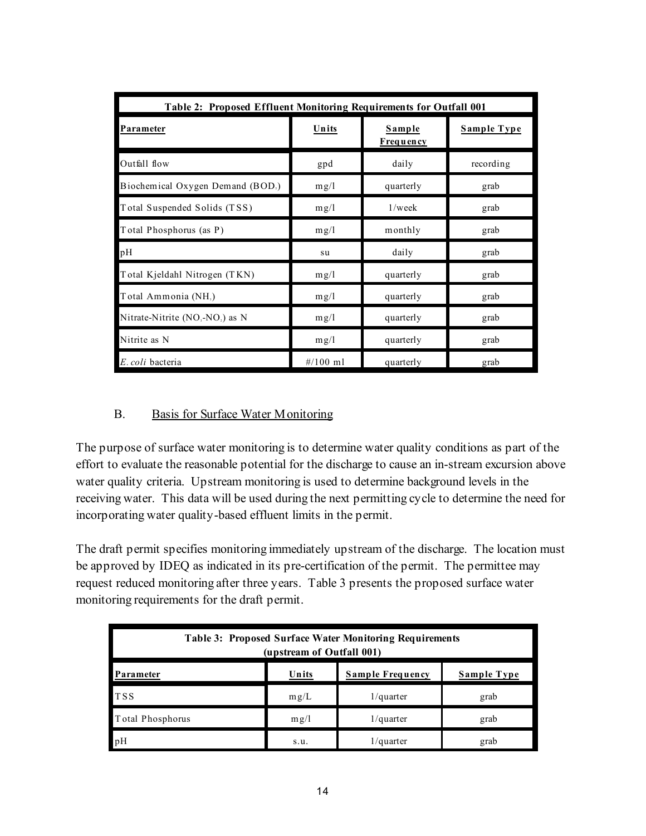| Table 2: Proposed Effluent Monitoring Requirements for Outfall 001 |                     |                            |                    |  |
|--------------------------------------------------------------------|---------------------|----------------------------|--------------------|--|
| Parameter                                                          | Units               | Sample<br><b>Frequency</b> | <b>Sample Type</b> |  |
| Outfall flow                                                       | gpd                 | daily                      | recording          |  |
| Biochemical Oxygen Demand (BOD,)                                   | mg/1                | quarterly                  | grab               |  |
| Total Suspended Solids (TSS)                                       | mg/1                | $1$ /week                  | grab               |  |
| Total Phosphorus (as P)                                            | mg/1                | monthly                    | grab               |  |
| pН                                                                 | su                  | daily                      | grab               |  |
| Total Kjeldahl Nitrogen (TKN)                                      | mg/1                | quarterly                  | grab               |  |
| Total Ammonia (NH <sub>3</sub> )                                   | mg/1                | quarterly                  | grab               |  |
| Nitrate-Nitrite (NO <sub>3</sub> -NO <sub>2</sub> ) as N           | mg/1                | quarterly                  | grab               |  |
| Nitrite as N                                                       | mg/l                | quarterly                  | grab               |  |
| E. coli bacteria                                                   | $\frac{\#}{100}$ ml | quarterly                  | grab               |  |

#### B. Basis for Surface Water Monitoring

The purpose of surface water monitoring is to determine water quality conditions as part of the effort to evaluate the reasonable potential for the discharge to cause an in-stream excursion above water quality criteria. Upstream monitoring is used to determine background levels in the receiving water. This data will be used during the next permitting cycle to determine the need for incorporating water quality-based effluent limits in the permit.

The draft permit specifies monitoring immediately upstream of the discharge. The location must be approved by IDEQ as indicated in its pre-certification of the permit. The permittee may request reduced monitoring after three years. Table 3 presents the proposed surface water monitoring requirements for the draft permit.

| <b>Table 3: Proposed Surface Water Monitoring Requirements</b><br>(upstream of Outfall 001) |       |                  |             |  |
|---------------------------------------------------------------------------------------------|-------|------------------|-------------|--|
| Parameter                                                                                   | Units | Sample Frequency | Sample Type |  |
| <b>TSS</b>                                                                                  | mg/L  | $1$ /quarter     | grab        |  |
| Total Phosphorus                                                                            | m g/l | $1$ /quarter     | grab        |  |
| pH                                                                                          | S.u.  | $1$ /quarter     | grab        |  |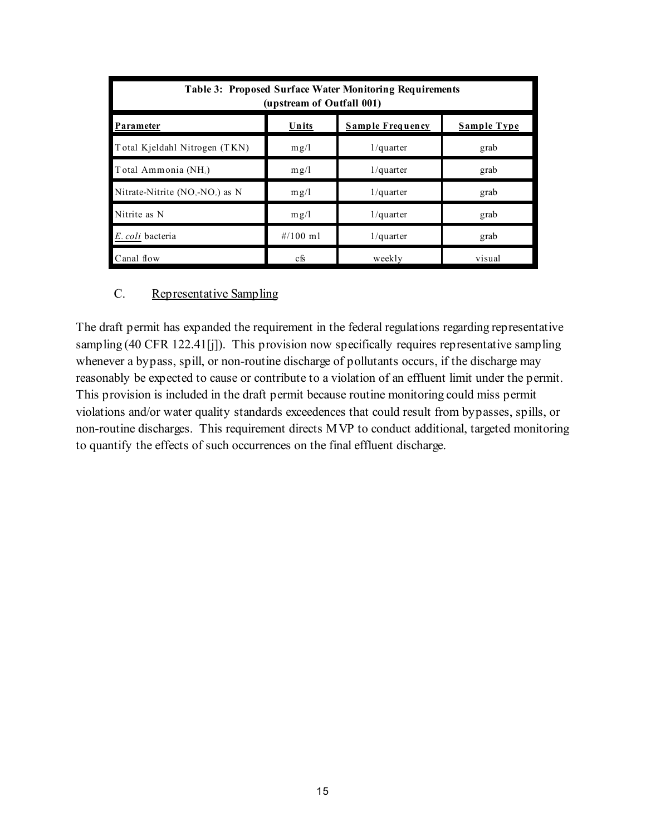| Table 3: Proposed Surface Water Monitoring Requirements<br>(upstream of Outfall 001) |             |                         |                    |
|--------------------------------------------------------------------------------------|-------------|-------------------------|--------------------|
| Parameter                                                                            | Units       | <b>Sample Frequency</b> | <b>Sample Type</b> |
| Total Kieldahl Nitrogen (TKN)                                                        | m g/l       | $1$ /quarter            | grab               |
| Total Ammonia (NH <sub>3</sub> )                                                     | mg/l        | $1$ /quarter            | grab               |
| Nitrate-Nitrite $(NO, NO)$ as N                                                      | m g/l       | $1$ /quarter            | grab               |
| Nitrite as N                                                                         | m g/l       | $1$ /quarter            | grab               |
| E. coli bacteria                                                                     | $\#/100$ ml | $1$ /quarter            | grab               |
| Canal flow                                                                           | cfs         | weekly                  | visual             |

#### C. Representative Sampling

The draft permit has expanded the requirement in the federal regulations regarding representative sampling (40 CFR 122.41[j]). This provision now specifically requires representative sampling whenever a bypass, spill, or non-routine discharge of pollutants occurs, if the discharge may reasonably be expected to cause or contribute to a violation of an effluent limit under the permit. This provision is included in the draft permit because routine monitoring could miss permit violations and/or water quality standards exceedences that could result from bypasses, spills, or non-routine discharges. This requirement directs MVP to conduct additional, targeted monitoring to quantify the effects of such occurrences on the final effluent discharge.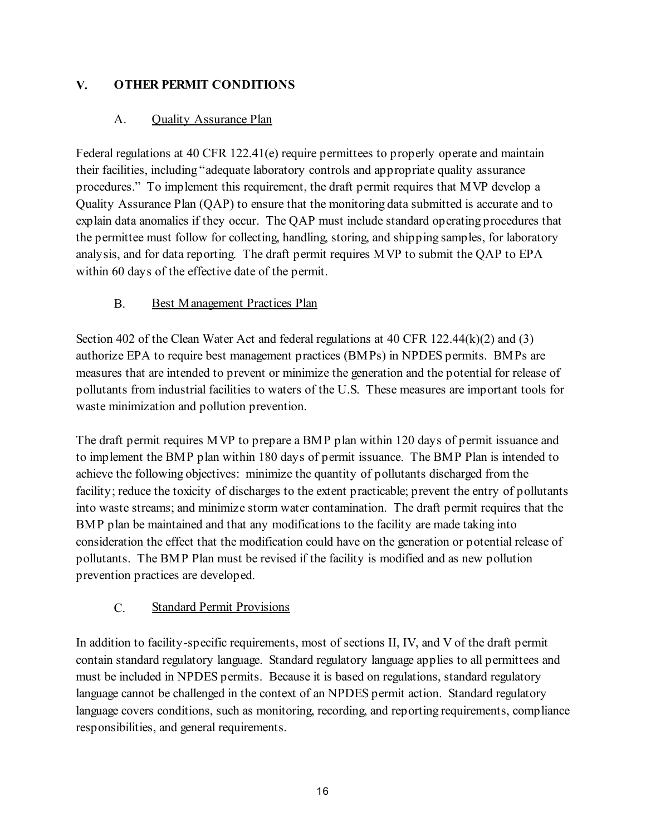## <span id="page-15-0"></span>**V. OTHER PERMIT CONDITIONS**

## A. **Quality Assurance Plan**

Federal regulations at 40 CFR 122.41(e) require permittees to properly operate and maintain their facilities, including "adequate laboratory controls and appropriate quality assurance procedures." To implement this requirement, the draft permit requires that MVP develop a Quality Assurance Plan (QAP) to ensure that the monitoring data submitted is accurate and to explain data anomalies if they occur. The QAP must include standard operating procedures that the permittee must follow for collecting, handling, storing, and shipping samples, for laboratory analysis, and for data reporting. The draft permit requires MVP to submit the QAP to EPA within 60 days of the effective date of the permit.

## B. Best Management Practices Plan

Section 402 of the Clean Water Act and federal regulations at 40 CFR 122.44(k)(2) and (3) authorize EPA to require best management practices (BMPs) in NPDES permits. BMPs are measures that are intended to prevent or minimize the generation and the potential for release of pollutants from industrial facilities to waters of the U.S. These measures are important tools for waste minimization and pollution prevention.

The draft permit requires MVP to prepare a BMP plan within 120 days of permit issuance and to implement the BMP plan within 180 days of permit issuance. The BMP Plan is intended to achieve the following objectives: minimize the quantity of pollutants discharged from the facility; reduce the toxicity of discharges to the extent practicable; prevent the entry of pollutants into waste streams; and minimize storm water contamination. The draft permit requires that the BMP plan be maintained and that any modifications to the facility are made taking into consideration the effect that the modification could have on the generation or potential release of pollutants. The BMP Plan must be revised if the facility is modified and as new pollution

# prevention practices are developed.<br>
C. Standard Permit Provisions

In addition to facility-specific requirements, most of sections II, IV, and V of the draft permit contain standard regulatory language. Standard regulatory language applies to all permittees and must be included in NPDES permits. Because it is based on regulations, standard regulatory language cannot be challenged in the context of an NPDES permit action. Standard regulatory language covers conditions, such as monitoring, recording, and reporting requirements, compliance responsibilities, and general requirements.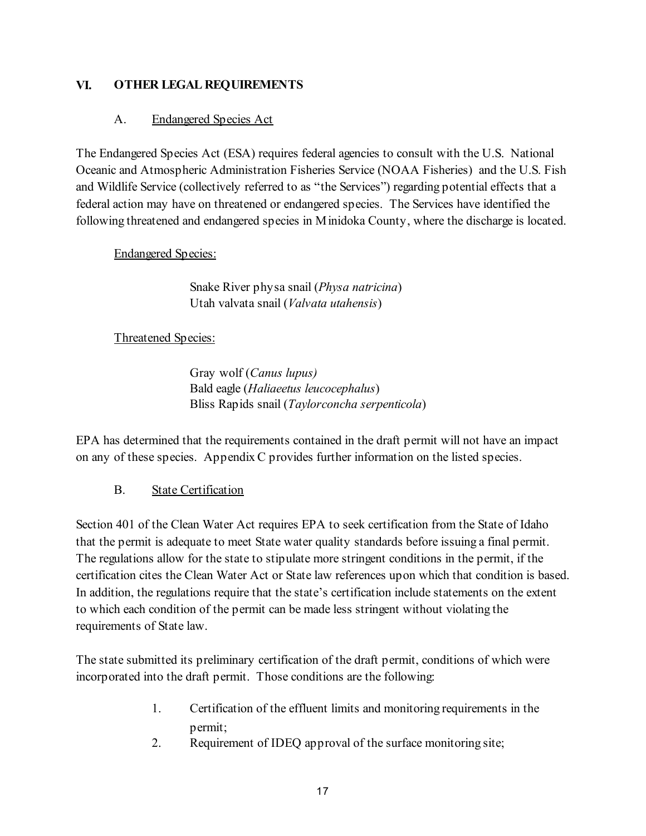#### <span id="page-16-0"></span>**VI. OTHER LEGAL REQUIREMENTS**

#### A. Endangered Species Act

The Endangered Species Act (ESA) requires federal agencies to consult with the U.S. National Oceanic and Atmospheric Administration Fisheries Service (NOAA Fisheries) and the U.S. Fish and Wildlife Service (collectively referred to as "the Services") regarding potential effects that a federal action may have on threatened or endangered species. The Services have identified the following threatened and endangered species in Minidoka County, where the discharge is located.

#### Endangered Species:

Snake River physa snail (*Physa natricina*) Utah valvata snail (*Valvata utahensis*)

#### Threatened Species:

Gray wolf (*Canus lupus)* Bald eagle (*Haliaeetus leucocephalus*) Bliss Rapids snail (*Taylorconcha serpenticola*)

EPA has determined that the requirements contained in the draft permit will not have an impact on any of these species. Appendix C provides further information on the listed species.

### B. State Certification

Section 401 of the Clean Water Act requires EPA to seek certification from the State of Idaho that the permit is adequate to meet State water quality standards before issuing a final permit. The regulations allow for the state to stipulate more stringent conditions in the permit, if the certification cites the Clean Water Act or State law references upon which that condition is based. In addition, the regulations require that the state's certification include statements on the extent to which each condition of the permit can be made less stringent without violating the requirements of State law.

The state submitted its preliminary certification of the draft permit, conditions of which were incorporated into the draft permit. Those conditions are the following:

- 1. Certification of the effluent limits and monitoring requirements in the permit;
- 2. Requirement of IDEQ approval of the surface monitoring site;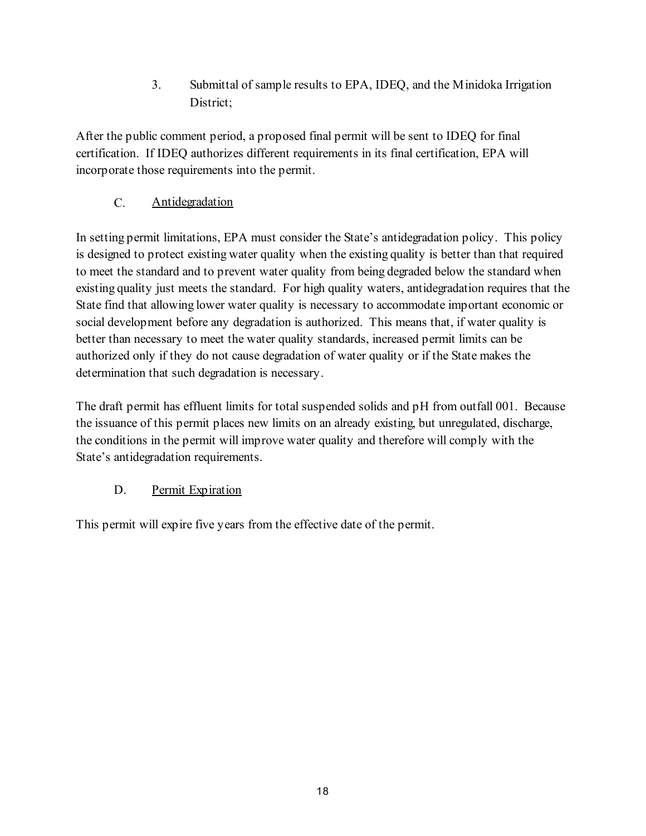3. Submittal of sample results to EPA, IDEQ, and the Minidoka Irrigation District;

After the public comment period, a proposed final permit will be sent to IDEQ for final certification. If IDEQ authorizes different requirements in its final certification, EPA will incorporate those requirements into the permit.

## C. Antidegradation

In setting permit limitations, EPA must consider the State's antidegradation policy. This policy is designed to protect existing water quality when the existing quality is better than that required to meet the standard and to prevent water quality from being degraded below the standard when existing quality just meets the standard. For high quality waters, antidegradation requires that the State find that allowing lower water quality is necessary to accommodate important economic or social development before any degradation is authorized. This means that, if water quality is better than necessary to meet the water quality standards, increased permit limits can be authorized only if they do not cause degradation of water quality or if the State makes the determination that such degradation is necessary.

The draft permit has effluent limits for total suspended solids and pH from outfall 001. Because the issuance of this permit places new limits on an already existing, but unregulated, discharge, the conditions in the permit will improve water quality and therefore will comply with the State's antidegradation requirements.

## D. Permit Expiration

This permit will expire five years from the effective date of the permit.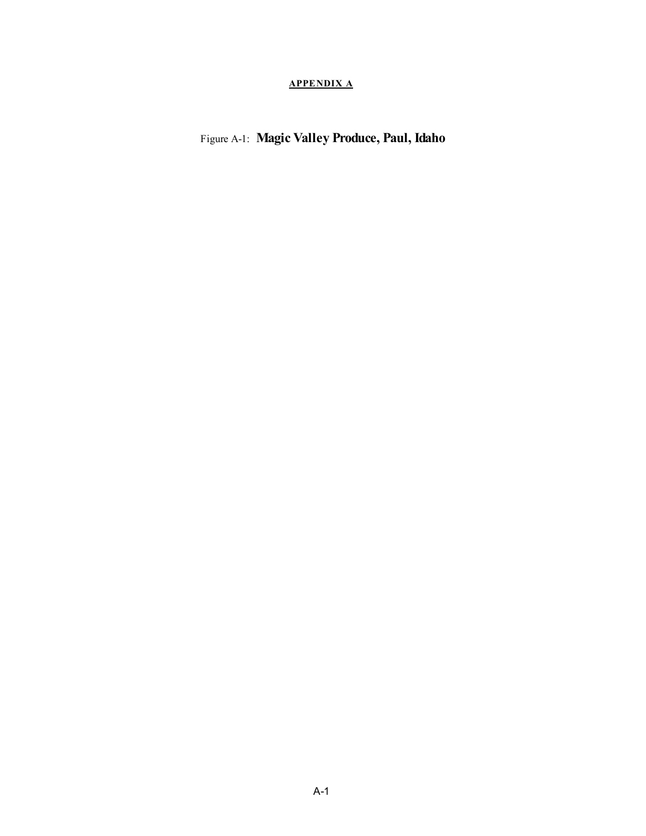#### **APPENDIX A**

<span id="page-18-0"></span>Figure A-1: **Magic Valley Produce, Paul, Idaho**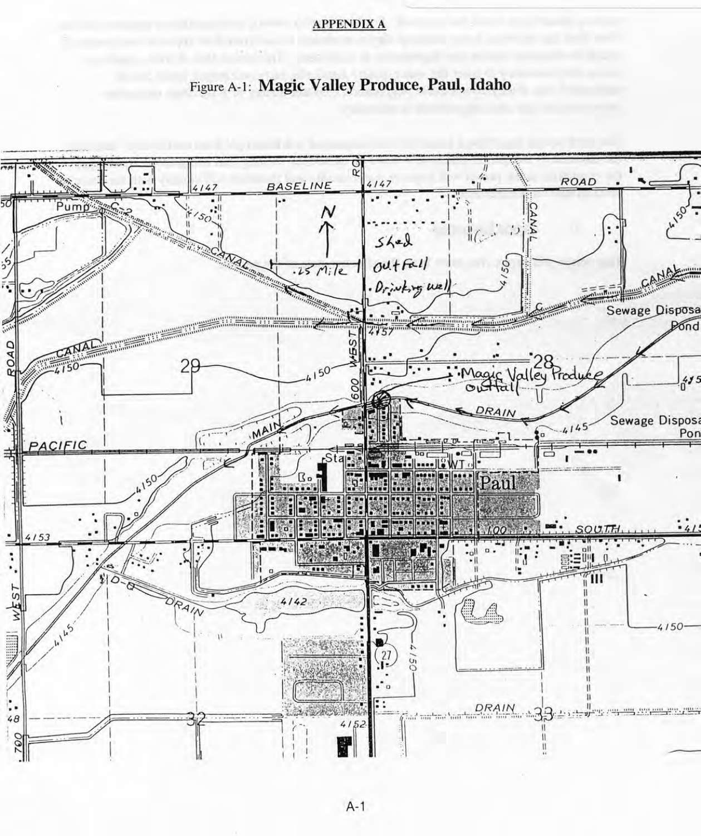#### **APPENDIX A**



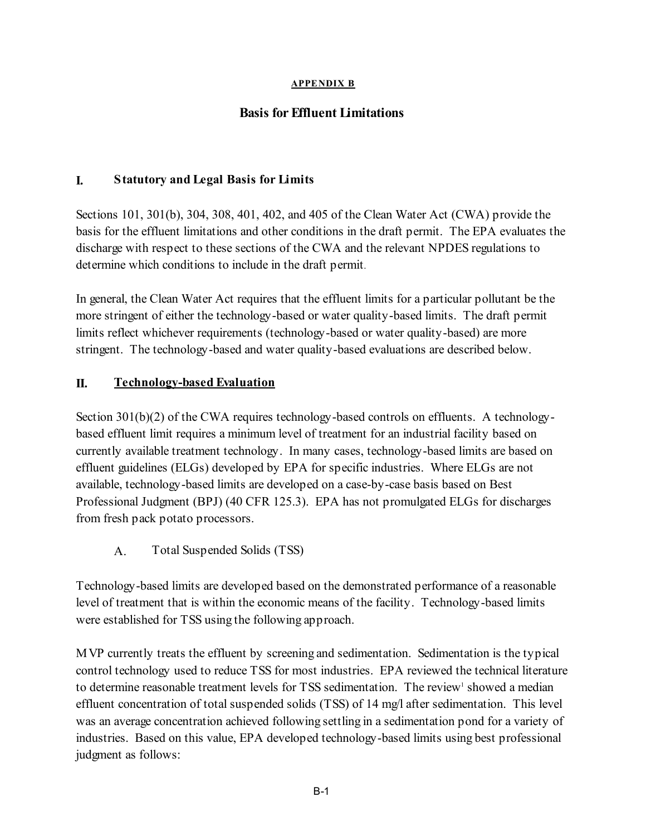#### **APPENDIX B**

### **Basis for Effluent Limitations**

#### **I. Statutory and Legal Basis for Limits**

Sections 101, 301(b), 304, 308, 401, 402, and 405 of the Clean Water Act (CWA) provide the basis for the effluent limitations and other conditions in the draft permit. The EPA evaluates the discharge with respect to these sections of the CWA and the relevant NPDES regulations to determine which conditions to include in the draft permit.

In general, the Clean Water Act requires that the effluent limits for a particular pollutant be the more stringent of either the technology-based or water quality-based limits. The draft permit limits reflect whichever requirements (technology-based or water quality-based) are more stringent. The technology-based and water quality-based evaluations are described below.

#### **II. Technology-based Evaluation**

Section 301(b)(2) of the CWA requires technology-based controls on effluents. A technologybased effluent limit requires a minimum level of treatment for an industrial facility based on currently available treatment technology. In many cases, technology-based limits are based on effluent guidelines (ELGs) developed by EPA for specific industries. Where ELGs are not available, technology-based limits are developed on a case-by-case basis based on Best Professional Judgment (BPJ) (40 CFR 125.3). EPA has not promulgated ELGs for discharges from fresh pack potato processors.

A. Total Suspended Solids (TSS)

Technology-based limits are developed based on the demonstrated performance of a reasonable level of treatment that is within the economic means of the facility. Technology-based limits were established for TSS using the following approach.

MVP currently treats the effluent by screening and sedimentation. Sedimentation is the typical control technology used to reduce TSS for most industries. EPA reviewed the technical literature to determine reasonable treatment levels for TSS sedimentation. The review<sup>1</sup> showed a median effluent concentration of total suspended solids (TSS) of 14 mg/l after sedimentation. This level was an average concentration achieved following settling in a sedimentation pond for a variety of industries. Based on this value, EPA developed technology-based limits using best professional judgment as follows: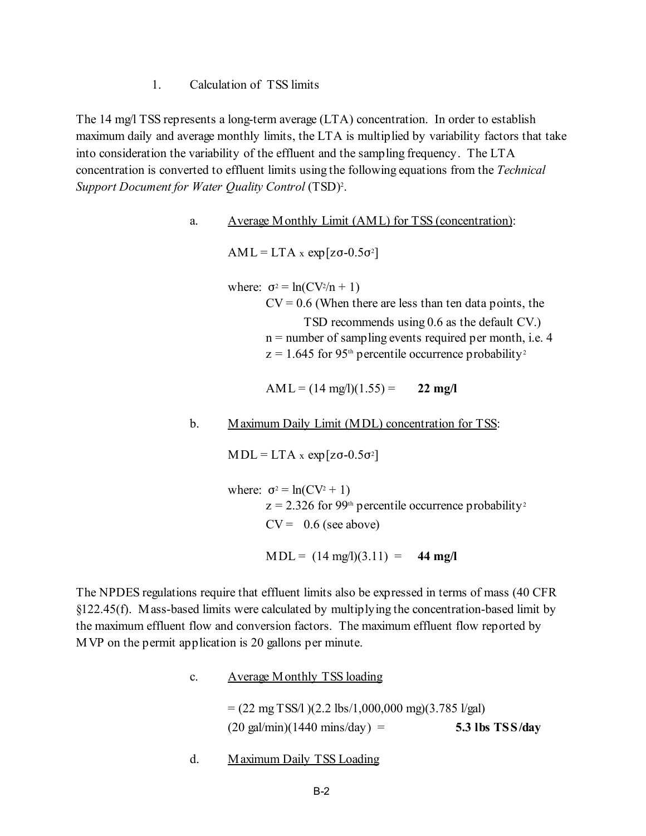1. Calculation of TSS limits

The 14 mg/l TSS represents a long-term average (LTA) concentration. In order to establish maximum daily and average monthly limits, the LTA is multiplied by variability factors that take into consideration the variability of the effluent and the sampling frequency. The LTA concentration is converted to effluent limits using the following equations from the *Technical*  Support Document for Water Quality Control (TSD)<sup>2</sup>.

#### a. Average Monthly Limit (AML) for TSS (concentration):

 $AML = LTA \times exp[zo-0.5\sigma^2]$ 

where:  $\sigma^2 = \ln(CV^2/n + 1)$  $CV = 0.6$  (When there are less than ten data points, the TSD recommends using 0.6 as the default CV.) n = number of sampling events required per month, i.e. 4  $z = 1.645$  for 95<sup>th</sup> percentile occurrence probability<sup>2</sup>

AML =  $(14 \text{ mg/l})(1.55)$  = 22 mg/l

#### b. Maximum Daily Limit (MDL) concentration for TSS:

 $MDL = LTA \times exp[zo-0.5\sigma^2]$ 

where:  $\sigma^2 = \ln(CV^2 + 1)$  $z = 2.326$  for 99<sup>th</sup> percentile occurrence probability<sup>2</sup>  $CV = 0.6$  (see above)

 $MDL = (14 \text{ mg}/1)(3.11) = 44 \text{ mg}/1$ 

The NPDES regulations require that effluent limits also be expressed in terms of mass (40 CFR §122.45(f). Mass-based limits were calculated by multiplying the concentration-based limit by the maximum effluent flow and conversion factors. The maximum effluent flow reported by MVP on the permit application is 20 gallons per minute.

c. Average Monthly TSS loading

 $= (22 \text{ mg} \text{ TSS/1}) (2.2 \text{ lbs} / 1,000,000 \text{ mg}) (3.785 \text{ l/gal})$ (20 gal/min)(1440 mins/day) = **5.3 lbs TSS/day** 

d. Maximum Daily TSS Loading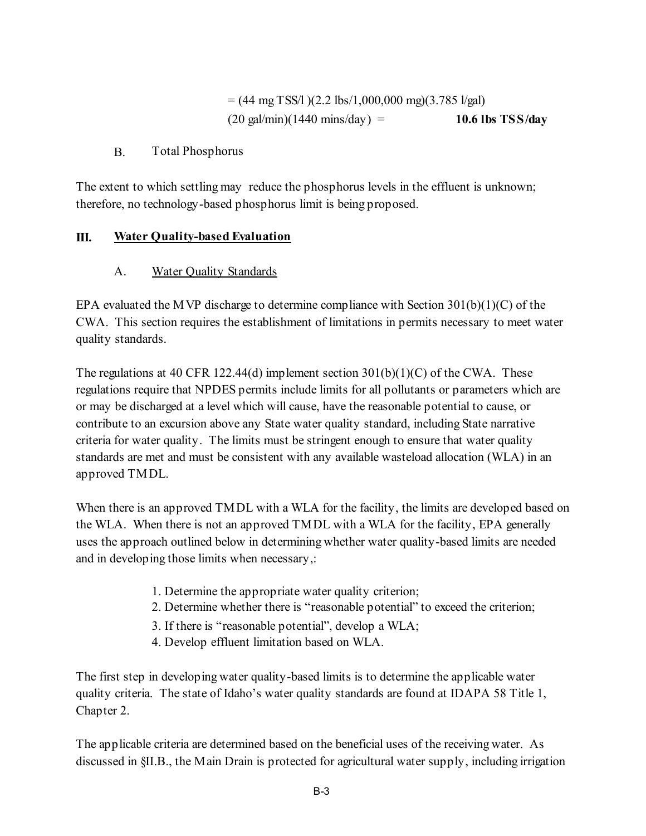$= (44 \text{ mg} \text{ TSS}/\text{l}) (2.2 \text{ lbs}/\text{1},000,000 \text{ mg}) (3.785 \text{ l/gal})$  $(20 \text{ gal/min})(1440 \text{ mins/day}) = 10.6 \text{ lbs} \text{ TSS/day}$ 

#### B. Total Phosphorus

The extent to which settling may reduce the phosphorus levels in the effluent is unknown; therefore, no technology-based phosphorus limit is being proposed.

#### **III. Water Quality-based Evaluation**

#### **Water Quality Standards**

A. Water Quality Standards<br>
EPA evaluated the MVP discharge to determine compliance with Section 301(b)(1)(C) of the CWA. This section requires the establishment of limitations in permits necessary to meet water quality standards.

The regulations at 40 CFR 122.44(d) implement section  $301(b)(1)(C)$  of the CWA. These regulations require that NPDES permits include limits for all pollutants or parameters which are or may be discharged at a level which will cause, have the reasonable potential to cause, or contribute to an excursion above any State water quality standard, including State narrative criteria for water quality. The limits must be stringent enough to ensure that water quality standards are met and must be consistent with any available wasteload allocation (WLA) in an approved TMDL.

When there is an approved TMDL with a WLA for the facility, the limits are developed based on the WLA. When there is not an approved TMDL with a WLA for the facility, EPA generally uses the approach outlined below in determining whether water quality-based limits are needed and in developing those limits when necessary,:

- 1. Determine the appropriate water quality criterion;
- 2. Determine whether there is "reasonable potential" to exceed the criterion;
- 3. If there is "reasonable potential", develop a WLA;
- 4. Develop effluent limitation based on WLA.

The first step in developing water quality-based limits is to determine the applicable water quality criteria. The state of Idaho's water quality standards are found at IDAPA 58 Title 1, Chapter 2.

The applicable criteria are determined based on the beneficial uses of the receiving water. As discussed in §II.B., the Main Drain is protected for agricultural water supply, including irrigation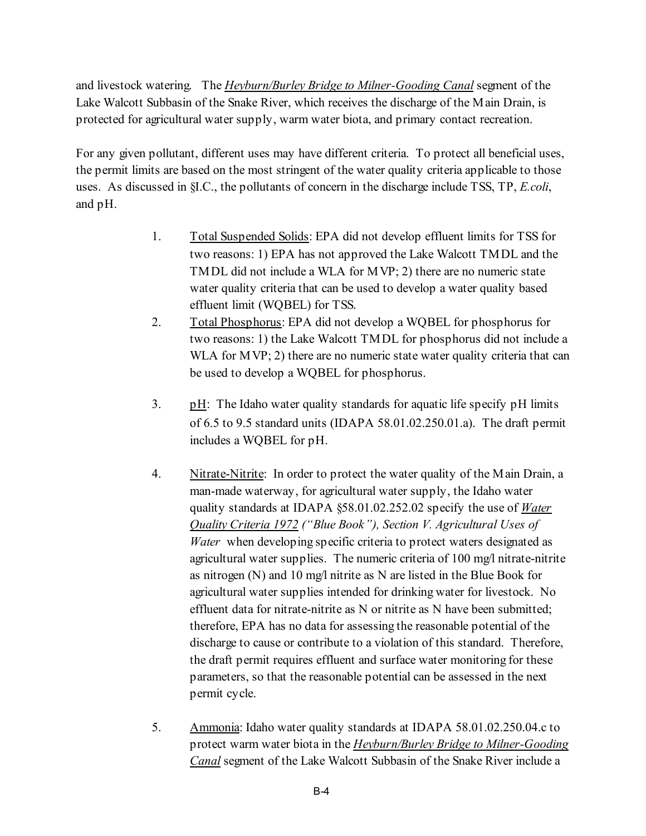and livestock watering. The *Heyburn/Burley Bridge to Milner-Gooding Canal* segment of the Lake Walcott Subbasin of the Snake River, which receives the discharge of the Main Drain, is protected for agricultural water supply, warm water biota, and primary contact recreation.

For any given pollutant, different uses may have different criteria. To protect all beneficial uses, the permit limits are based on the most stringent of the water quality criteria applicable to those uses. As discussed in §I.C., the pollutants of concern in the discharge include TSS, TP, *E.coli*, and pH.

- 1. Total Suspended Solids: EPA did not develop effluent limits for TSS for two reasons: 1) EPA has not approved the Lake Walcott TMDL and the TMDL did not include a WLA for MVP; 2) there are no numeric state water quality criteria that can be used to develop a water quality based effluent limit (WQBEL) for TSS.
- 2. Total Phosphorus: EPA did not develop a WQBEL for phosphorus for two reasons: 1) the Lake Walcott TMDL for phosphorus did not include a WLA for MVP; 2) there are no numeric state water quality criteria that can be used to develop a WQBEL for phosphorus.
- 3.  $pH$ : The Idaho water quality standards for aquatic life specify pH limits of 6.5 to 9.5 standard units (IDAPA 58.01.02.250.01.a). The draft permit includes a WQBEL for pH.
- 4. Nitrate-Nitrite: In order to protect the water quality of the Main Drain, a man-made waterway, for agricultural water supply, the Idaho water quality standards at IDAPA §58.01.02.252.02 specify the use of *Water Quality Criteria 1972 ("Blue Book"), Section V. Agricultural Uses of Water* when developing specific criteria to protect waters designated as agricultural water supplies. The numeric criteria of 100 mg/l nitrate-nitrite as nitrogen (N) and 10 mg/l nitrite as N are listed in the Blue Book for agricultural water supplies intended for drinking water for livestock. No effluent data for nitrate-nitrite as N or nitrite as N have been submitted; therefore, EPA has no data for assessing the reasonable potential of the discharge to cause or contribute to a violation of this standard. Therefore, the draft permit requires effluent and surface water monitoring for these parameters, so that the reasonable potential can be assessed in the next permit cycle.
- 5. Ammonia: Idaho water quality standards at IDAPA 58.01.02.250.04.c to protect warm water biota in the *Heyburn/Burley Bridge to Milner-Gooding Canal* segment of the Lake Walcott Subbasin of the Snake River include a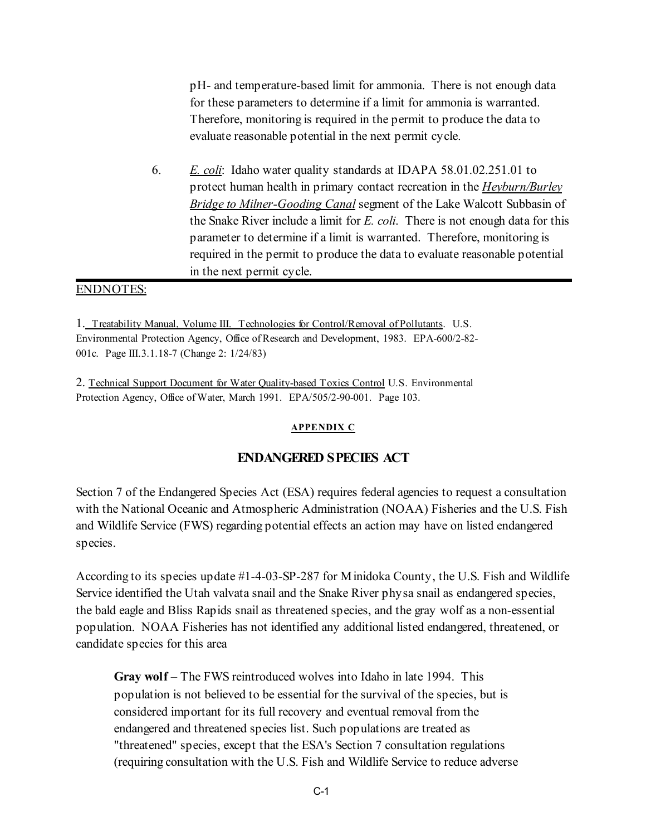pH- and temperature-based limit for ammonia. There is not enough data for these parameters to determine if a limit for ammonia is warranted. Therefore, monitoring is required in the permit to produce the data to evaluate reasonable potential in the next permit cycle.

6. *E. coli*: Idaho water quality standards at IDAPA 58.01.02.251.01 to protect human health in primary contact recreation in the *Heyburn/Burley Bridge to Milner-Gooding Canal* segment of the Lake Walcott Subbasin of the Snake River include a limit for *E. coli*. There is not enough data for this parameter to determine if a limit is warranted. Therefore, monitoring is required in the permit to produce the data to evaluate reasonable potential in the next permit cycle.

#### ENDNOTES:

1. Treatability Manual, Volume III. Technologies for Control/Removal of Pollutants. U.S. Environmental Protection Agency, Office of Research and Development, 1983. EPA-600/2-82- 001c. Page III.3.1.18-7 (Change 2: 1/24/83)

2. Technical Support Document for Water Quality-based Toxics Control U.S. Environmental Protection Agency, Office of Water, March 1991. EPA/505/2-90-001. Page 103.

#### **APPENDIX C**

#### **ENDANGERED SPECIES ACT**

Section 7 of the Endangered Species Act (ESA) requires federal agencies to request a consultation with the National Oceanic and Atmospheric Administration (NOAA) Fisheries and the U.S. Fish and Wildlife Service (FWS) regarding potential effects an action may have on listed endangered species.

According to its species update #1-4-03-SP-287 for Minidoka County, the U.S. Fish and Wildlife Service identified the Utah valvata snail and the Snake River physa snail as endangered species, the bald eagle and Bliss Rapids snail as threatened species, and the gray wolf as a non-essential population. NOAA Fisheries has not identified any additional listed endangered, threatened, or candidate species for this area

**Gray wolf** – The FWS reintroduced wolves into Idaho in late 1994. This population is not believed to be essential for the survival of the species, but is considered important for its full recovery and eventual removal from the endangered and threatened species list. Such populations are treated as "threatened" species, except that the ESA's Section 7 consultation regulations (requiring consultation with the U.S. Fish and Wildlife Service to reduce adverse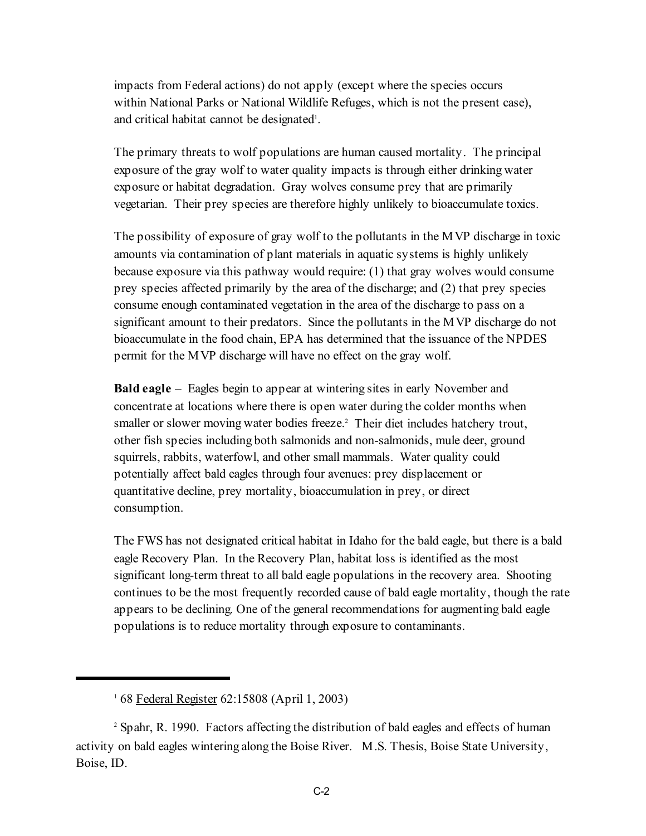impacts from Federal actions) do not apply (except where the species occurs within National Parks or National Wildlife Refuges, which is not the present case), and critical habitat cannot be designated<sup>1</sup>.

The primary threats to wolf populations are human caused mortality. The principal exposure of the gray wolf to water quality impacts is through either drinking water exposure or habitat degradation. Gray wolves consume prey that are primarily vegetarian. Their prey species are therefore highly unlikely to bioaccumulate toxics.

The possibility of exposure of gray wolf to the pollutants in the MVP discharge in toxic amounts via contamination of plant materials in aquatic systems is highly unlikely because exposure via this pathway would require: (1) that gray wolves would consume prey species affected primarily by the area of the discharge; and (2) that prey species consume enough contaminated vegetation in the area of the discharge to pass on a significant amount to their predators. Since the pollutants in the MVP discharge do not bioaccumulate in the food chain, EPA has determined that the issuance of the NPDES permit for the MVP discharge will have no effect on the gray wolf.

**Bald eagle** – Eagles begin to appear at wintering sites in early November and concentrate at locations where there is open water during the colder months when smaller or slower moving water bodies freeze.<sup>2</sup> Their diet includes hatchery trout, other fish species including both salmonids and non-salmonids, mule deer, ground squirrels, rabbits, waterfowl, and other small mammals. Water quality could potentially affect bald eagles through four avenues: prey displacement or quantitative decline, prey mortality, bioaccumulation in prey, or direct consumption.

The FWS has not designated critical habitat in Idaho for the bald eagle, but there is a bald eagle Recovery Plan. In the Recovery Plan, habitat loss is identified as the most significant long-term threat to all bald eagle populations in the recovery area. Shooting continues to be the most frequently recorded cause of bald eagle mortality, though the rate appears to be declining. One of the general recommendations for augmenting bald eagle populations is to reduce mortality through exposure to contaminants.

<sup>&</sup>lt;sup>1</sup> 68 Federal Register 62:15808 (April 1, 2003)

<sup>&</sup>lt;sup>2</sup> Spahr, R. 1990. Factors affecting the distribution of bald eagles and effects of human activity on bald eagles wintering along the Boise River. M.S. Thesis, Boise State University, Boise, ID.